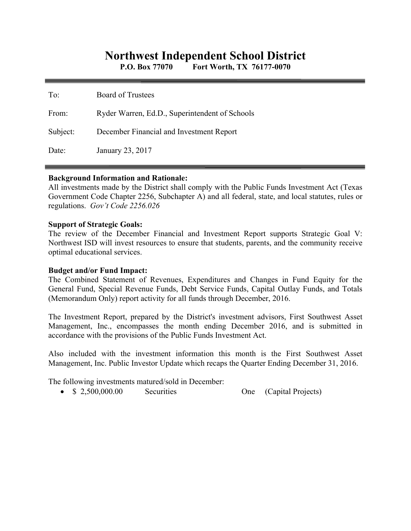# **Northwest Independent School District**

**P.O. Box 77070 Fort Worth, TX 76177-0070** 

| To:      | <b>Board of Trustees</b>                       |
|----------|------------------------------------------------|
| From:    | Ryder Warren, Ed.D., Superintendent of Schools |
| Subject: | December Financial and Investment Report       |
| Date:    | January 23, 2017                               |

### **Background Information and Rationale:**

All investments made by the District shall comply with the Public Funds Investment Act (Texas Government Code Chapter 2256, Subchapter A) and all federal, state, and local statutes, rules or regulations. *Gov't Code 2256.026* 

### **Support of Strategic Goals:**

The review of the December Financial and Investment Report supports Strategic Goal V: Northwest ISD will invest resources to ensure that students, parents, and the community receive optimal educational services.

## **Budget and/or Fund Impact:**

The Combined Statement of Revenues, Expenditures and Changes in Fund Equity for the General Fund, Special Revenue Funds, Debt Service Funds, Capital Outlay Funds, and Totals (Memorandum Only) report activity for all funds through December, 2016.

The Investment Report, prepared by the District's investment advisors, First Southwest Asset Management, Inc., encompasses the month ending December 2016, and is submitted in accordance with the provisions of the Public Funds Investment Act.

Also included with the investment information this month is the First Southwest Asset Management, Inc. Public Investor Update which recaps the Quarter Ending December 31, 2016.

The following investments matured/sold in December:

• \$ 2,500,000.00 Securities One (Capital Projects)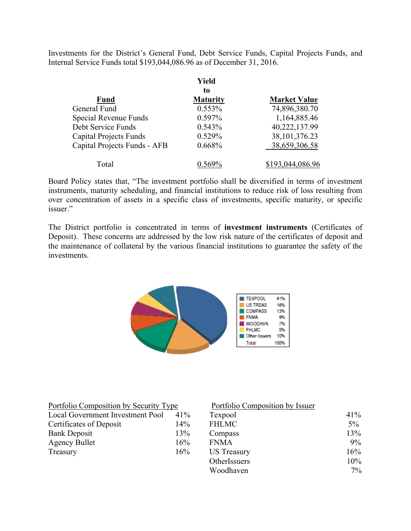Investments for the District's General Fund, Debt Service Funds, Capital Projects Funds, and Internal Service Funds total \$193,044,086.96 as of December 31, 2016.

|                               | Yield           |                     |  |
|-------------------------------|-----------------|---------------------|--|
|                               | to              |                     |  |
| <b>Fund</b>                   | <b>Maturity</b> | <b>Market Value</b> |  |
| General Fund                  | 0.553%          | 74,896,380.70       |  |
| Special Revenue Funds         | 0.597%          | 1,164,885.46        |  |
| Debt Service Funds            | 0.543%          | 40,222,137.99       |  |
| <b>Capital Projects Funds</b> | 0.529%          | 38, 101, 376. 23    |  |
| Capital Projects Funds - AFB  | 0.668%          | 38,659,306.58       |  |
| Total                         |                 | \$193,044,086.96    |  |

Board Policy states that, "The investment portfolio shall be diversified in terms of investment instruments, maturity scheduling, and financial institutions to reduce risk of loss resulting from over concentration of assets in a specific class of investments, specific maturity, or specific issuer."

The District portfolio is concentrated in terms of **investment instruments** (Certificates of Deposit). These concerns are addressed by the low risk nature of the certificates of deposit and the maintenance of collateral by the various financial institutions to guarantee the safety of the investments.



| Portfolio Composition by Security Type |        | Portfolio Composition by Issuer |       |  |
|----------------------------------------|--------|---------------------------------|-------|--|
| Local Government Investment Pool       | $41\%$ | Texpool                         | 41%   |  |
| Certificates of Deposit                | 14%    | <b>FHLMC</b>                    | $5\%$ |  |
| <b>Bank Deposit</b>                    | 13%    | Compass                         | 13%   |  |
| <b>Agency Bullet</b>                   | 16%    | <b>FNMA</b>                     | $9\%$ |  |
| Treasury                               | 16%    | <b>US</b> Treasury              | 16%   |  |
|                                        |        | OtherIssuers                    | 10%   |  |
|                                        |        | Woodhaven                       | $7\%$ |  |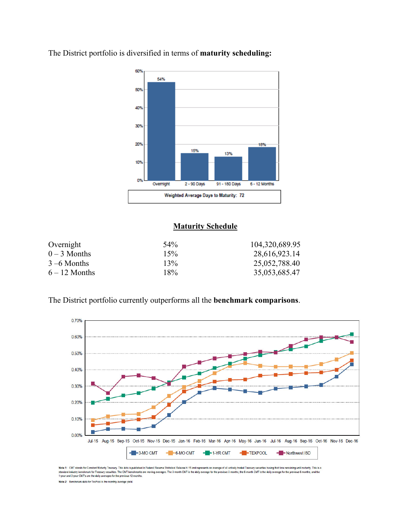

The District portfolio is diversified in terms of **maturity scheduling:** 

## **Maturity Schedule**

| Overnight       | 54% | 104,320,689.95 |
|-----------------|-----|----------------|
| $0 - 3$ Months  | 15% | 28,616,923.14  |
| $3 - 6$ Months  | 13% | 25,052,788.40  |
| $6 - 12$ Months | 18% | 35,053,685.47  |

The District portfolio currently outperforms all the **benchmark comparisons**.



Note 1: CMT stands for Constant Maturity Treasury. This data is published in Federal Reserve Statistical Release H.15 and represents an average of all actively traded Treasury securities having that time remaining until ma standard industry benchmark for Treasury securities. The CMT benchmarks are moving averages. The 3-month CMT is the daily average for the previous 3 months, the 6-month CMT is the daily average for the previous 6 months, a

Note 2: Benchmark data for TexPool is the monthly average yield.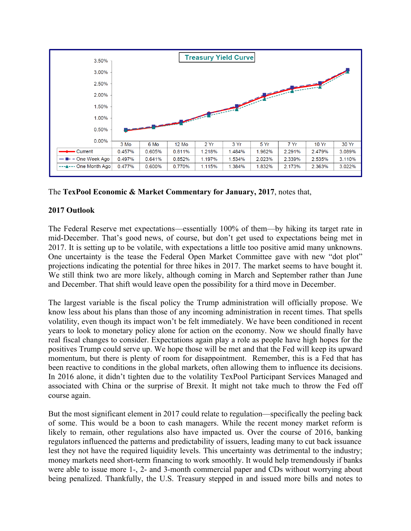

The **TexPool Economic & Market Commentary for January, 2017**, notes that,

# **2017 Outlook**

The Federal Reserve met expectations—essentially 100% of them—by hiking its target rate in mid-December. That's good news, of course, but don't get used to expectations being met in 2017. It is setting up to be volatile, with expectations a little too positive amid many unknowns. One uncertainty is the tease the Federal Open Market Committee gave with new "dot plot" projections indicating the potential for three hikes in 2017. The market seems to have bought it. We still think two are more likely, although coming in March and September rather than June and December. That shift would leave open the possibility for a third move in December.

The largest variable is the fiscal policy the Trump administration will officially propose. We know less about his plans than those of any incoming administration in recent times. That spells volatility, even though its impact won't be felt immediately. We have been conditioned in recent years to look to monetary policy alone for action on the economy. Now we should finally have real fiscal changes to consider. Expectations again play a role as people have high hopes for the positives Trump could serve up. We hope those will be met and that the Fed will keep its upward momentum, but there is plenty of room for disappointment. Remember, this is a Fed that has been reactive to conditions in the global markets, often allowing them to influence its decisions. In 2016 alone, it didn't tighten due to the volatility TexPool Participant Services Managed and associated with China or the surprise of Brexit. It might not take much to throw the Fed off course again.

But the most significant element in 2017 could relate to regulation—specifically the peeling back of some. This would be a boon to cash managers. While the recent money market reform is likely to remain, other regulations also have impacted us. Over the course of 2016, banking regulators influenced the patterns and predictability of issuers, leading many to cut back issuance lest they not have the required liquidity levels. This uncertainty was detrimental to the industry; money markets need short-term financing to work smoothly. It would help tremendously if banks were able to issue more 1-, 2- and 3-month commercial paper and CDs without worrying about being penalized. Thankfully, the U.S. Treasury stepped in and issued more bills and notes to